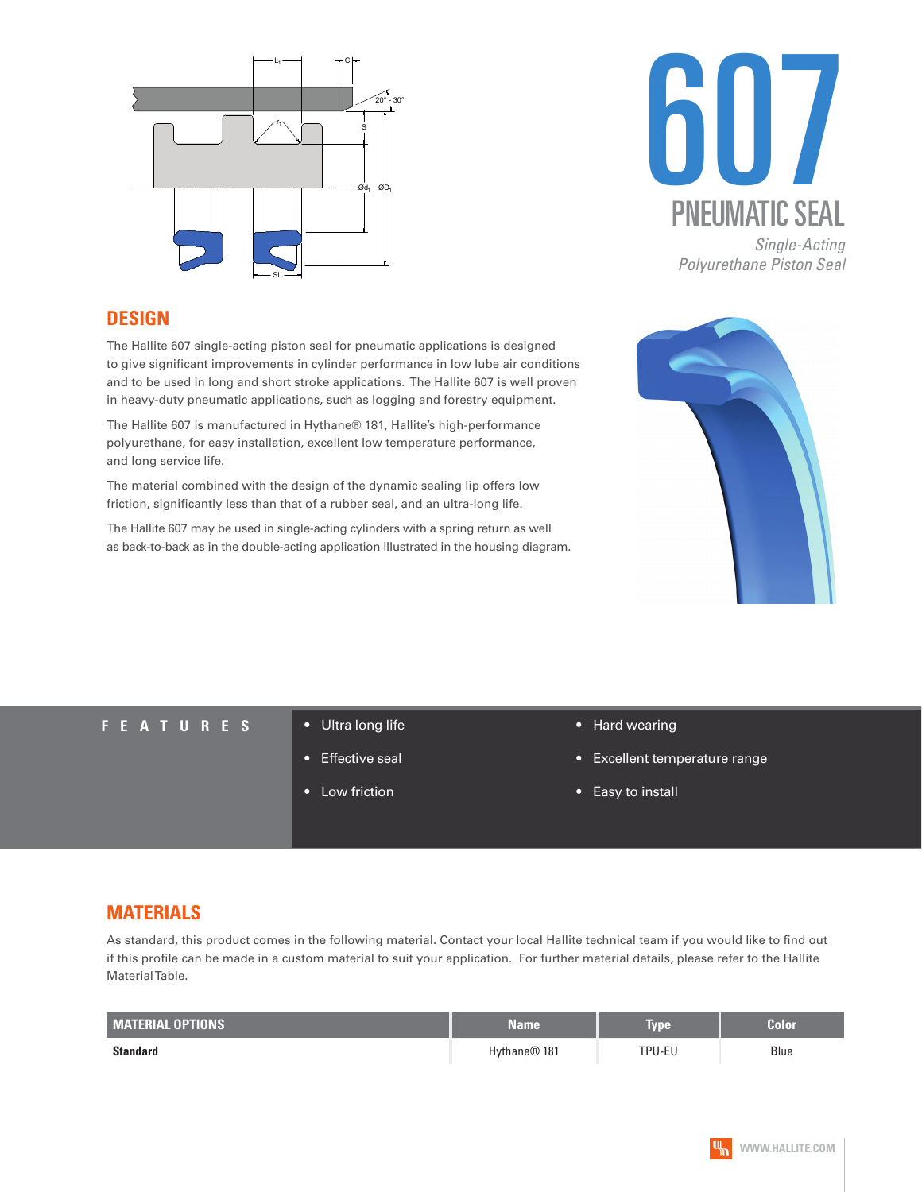



*Polyurethane Piston Seal*

### **DESIGN**

The Hallite 607 single-acting piston seal for pneumatic applications is designed to give significant improvements in cylinder performance in low lube air conditions and to be used in long and short stroke applications. The Hallite 607 is well proven in heavy-duty pneumatic applications, such as logging and forestry equipment.

The Hallite 607 is manufactured in Hythane® 181, Hallite's high-performance polyurethane, for easy installation, excellent low temperature performance, and long service life.

The material combined with the design of the dynamic sealing lip offers low friction, significantly less than that of a rubber seal, and an ultra-long life.

The Hallite 607 may be used in single-acting cylinders with a spring return as well as back-to-back as in the double-acting application illustrated in the housing diagram.



#### **FEATURES** • Ultra long life

- 
- **Effective seal**
- Low friction
- Hard wearing
- Excellent temperature range
- Easy to install

## **MATERIALS**

As standard, this product comes in the following material. Contact your local Hallite technical team if you would like to find out if this profile can be made in a custom material to suit your application. For further material details, please refer to the Hallite Material Table.

| <b>MATERIAL OPTIONS</b> | Name                     | <b>Type</b> | Color |
|-------------------------|--------------------------|-------------|-------|
| <b>Standard</b>         | Hythane <sup>®</sup> 181 | TPU-EU      | Blue  |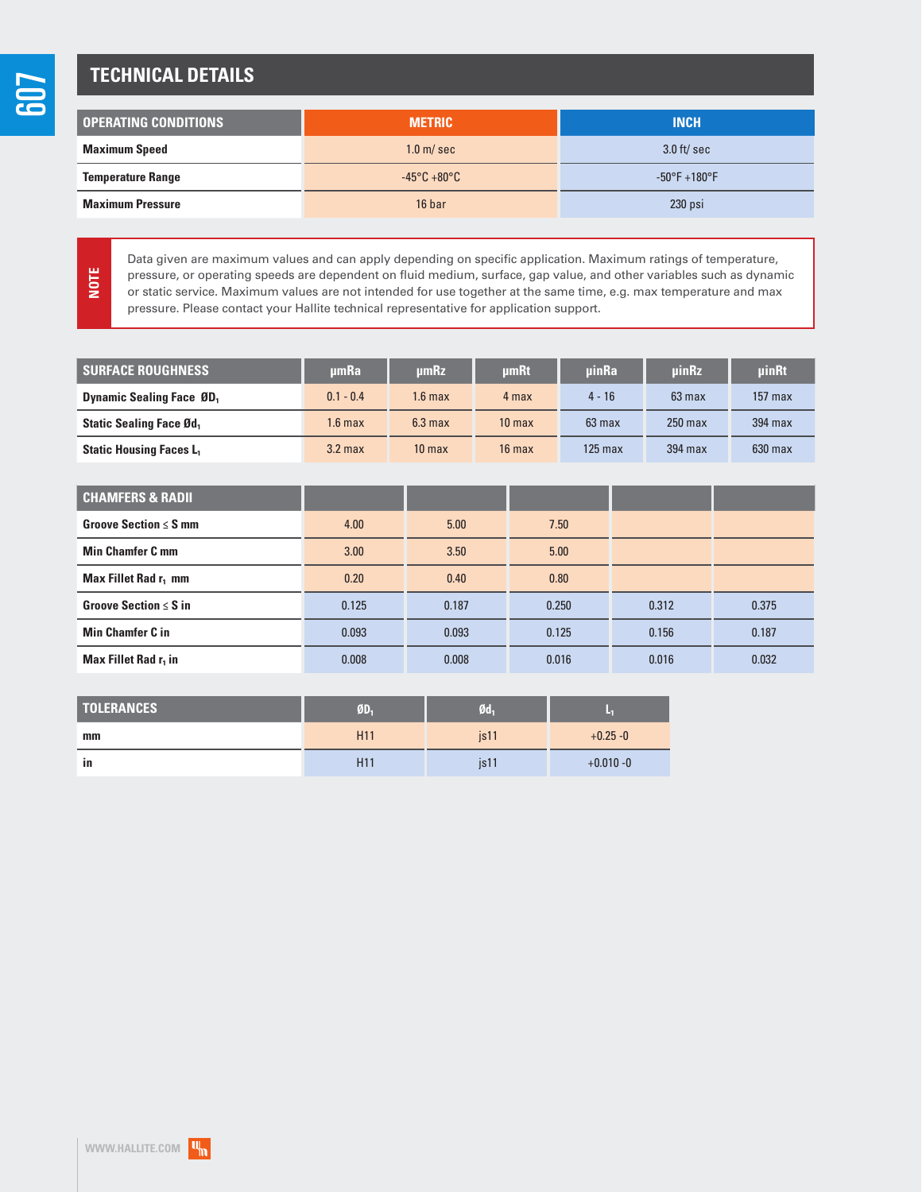**NOTE**

## **TECHNICAL DETAILS**

| <b>OPERATING CONDITIONS</b> | <b>METRIC</b>                    | <b>INCH</b>                      |  |
|-----------------------------|----------------------------------|----------------------------------|--|
| <b>Maximum Speed</b>        | $1.0$ m/sec                      | $3.0$ ft/sec                     |  |
| <b>Temperature Range</b>    | $-45^{\circ}$ C +80 $^{\circ}$ C | $-50^{\circ}$ F $+180^{\circ}$ F |  |
| <b>Maximum Pressure</b>     | 16 bar                           | $230$ psi                        |  |

Data given are maximum values and can apply depending on specific application. Maximum ratings of temperature, pressure, or operating speeds are dependent on fluid medium, surface, gap value, and other variables such as dynamic or static service. Maximum values are not intended for use together at the same time, e.g. max temperature and max pressure. Please contact your Hallite technical representative for application support.

| <b>SURFACE ROUGHNESS</b>                    | umRa               | µmRz              | <b>umRt</b>       | uinRa            | <b>uinRz</b>     | uinRt     |
|---------------------------------------------|--------------------|-------------------|-------------------|------------------|------------------|-----------|
| <b>Dynamic Sealing Face ØD</b> <sub>1</sub> | $0.1 - 0.4$        | 1.6 max           | 4 max             | $4 - 16$         | $63 \text{ max}$ | $157$ max |
| <b>Static Sealing Face Ød,</b>              | 1.6 <sub>max</sub> | $6.3 \text{ max}$ | 10 <sub>max</sub> | $63 \text{ max}$ | $250$ max        | 394 max   |
| <b>Static Housing Faces L.</b>              | $3.2$ max          | 10 <sub>max</sub> | $16$ max          | $125$ max        | 394 max          | $630$ max |

| <b>CHAMFERS &amp; RADII</b>      |       |       |       |       |       |
|----------------------------------|-------|-------|-------|-------|-------|
| Groove Section $\leq$ S mm       | 4.00  | 5.00  | 7.50  |       |       |
| <b>Min Chamfer C mm</b>          | 3.00  | 3.50  | 5.00  |       |       |
| Max Fillet Rad r <sub>1</sub> mm | 0.20  | 0.40  | 0.80  |       |       |
| Groove Section $\leq$ S in       | 0.125 | 0.187 | 0.250 | 0.312 | 0.375 |
| <b>Min Chamfer C in</b>          | 0.093 | 0.093 | 0.125 | 0.156 | 0.187 |
| Max Fillet Rad r <sub>1</sub> in | 0.008 | 0.008 | 0.016 | 0.016 | 0.032 |

| <b>TOLERANCES</b> | $\mathbf{0}$ <sub>1</sub> | Ød-              |              |
|-------------------|---------------------------|------------------|--------------|
| mm                | H <sub>11</sub>           | is <sub>11</sub> | $+0.25 - 0$  |
| in                | H <sub>11</sub>           | is 11            | $+0.010 - 0$ |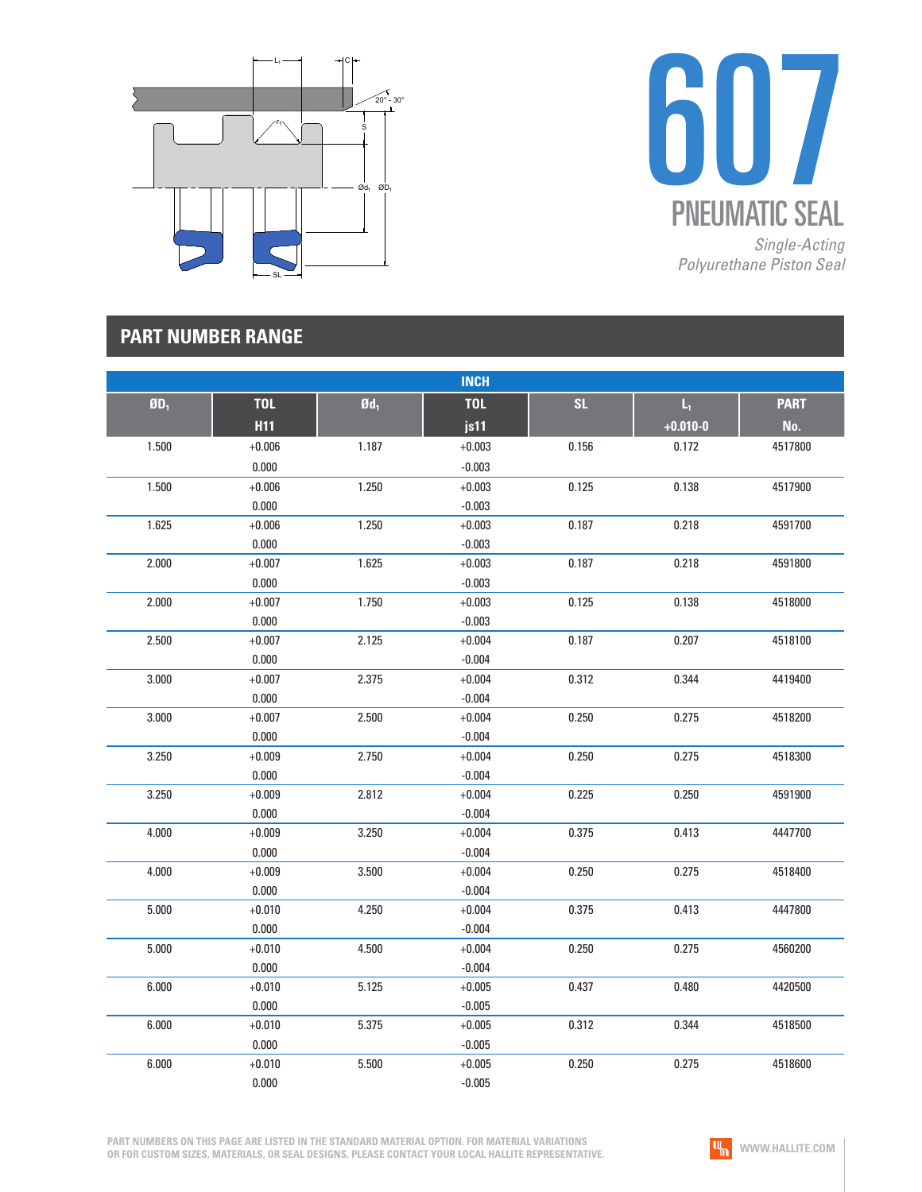



## **PART NUMBER RANGE**

|        |            |                   | <b>INCH</b> |           |                         |             |
|--------|------------|-------------------|-------------|-----------|-------------------------|-------------|
| $ØD_1$ | <b>TOL</b> | $\mathfrak{gd}_1$ | <b>TOL</b>  | <b>SL</b> | $\mathsf{L}_\mathsf{I}$ | <b>PART</b> |
|        | <b>H11</b> |                   | js11        |           | $+0.010 - 0$            | No.         |
| 1.500  | $+0.006$   | 1.187             | $+0.003$    | 0.156     | 0.172                   | 4517800     |
|        | 0.000      |                   | $-0.003$    |           |                         |             |
| 1.500  | $+0.006$   | 1.250             | $+0.003$    | 0.125     | 0.138                   | 4517900     |
|        | 0.000      |                   | $-0.003$    |           |                         |             |
| 1.625  | $+0.006$   | 1.250             | $+0.003$    | 0.187     | 0.218                   | 4591700     |
|        | 0.000      |                   | $-0.003$    |           |                         |             |
| 2.000  | $+0.007$   | 1.625             | $+0.003$    | 0.187     | 0.218                   | 4591800     |
|        | 0.000      |                   | $-0.003$    |           |                         |             |
| 2.000  | $+0.007$   | 1.750             | $+0.003$    | 0.125     | 0.138                   | 4518000     |
|        | 0.000      |                   | $-0.003$    |           |                         |             |
| 2.500  | $+0.007$   | 2.125             | $+0.004$    | 0.187     | 0.207                   | 4518100     |
|        | 0.000      |                   | $-0.004$    |           |                         |             |
| 3.000  | $+0.007$   | 2.375             | $+0.004$    | 0.312     | 0.344                   | 4419400     |
|        | 0.000      |                   | $-0.004$    |           |                         |             |
| 3.000  | $+0.007$   | 2.500             | $+0.004$    | 0.250     | 0.275                   | 4518200     |
|        | 0.000      |                   | $-0.004$    |           |                         |             |
| 3.250  | $+0.009$   | 2.750             | $+0.004$    | 0.250     | 0.275                   | 4518300     |
|        | 0.000      |                   | $-0.004$    |           |                         |             |
| 3.250  | $+0.009$   | 2.812             | $+0.004$    | 0.225     | 0.250                   | 4591900     |
|        | 0.000      |                   | $-0.004$    |           |                         |             |
| 4.000  | $+0.009$   | 3.250             | $+0.004$    | 0.375     | 0.413                   | 4447700     |
|        | 0.000      |                   | $-0.004$    |           |                         |             |
| 4.000  | $+0.009$   | 3.500             | $+0.004$    | 0.250     | 0.275                   | 4518400     |
|        | 0.000      |                   | $-0.004$    |           |                         |             |
| 5.000  | $+0.010$   | 4.250             | $+0.004$    | 0.375     | 0.413                   | 4447800     |
|        | 0.000      |                   | $-0.004$    |           |                         |             |
| 5.000  | $+0.010$   | 4.500             | $+0.004$    | 0.250     | 0.275                   | 4560200     |
|        | 0.000      |                   | $-0.004$    |           |                         |             |
| 6.000  | $+0.010$   | 5.125             | $+0.005$    | 0.437     | 0.480                   | 4420500     |
|        | 0.000      |                   | $-0.005$    |           |                         |             |
| 6.000  | $+0.010$   | 5.375             | $+0.005$    | 0.312     | 0.344                   | 4518500     |
|        | 0.000      |                   | $-0.005$    |           |                         |             |
| 6.000  | $+0.010$   | 5.500             | $+0.005$    | 0.250     | 0.275                   | 4518600     |
|        | 0.000      |                   | $-0.005$    |           |                         |             |